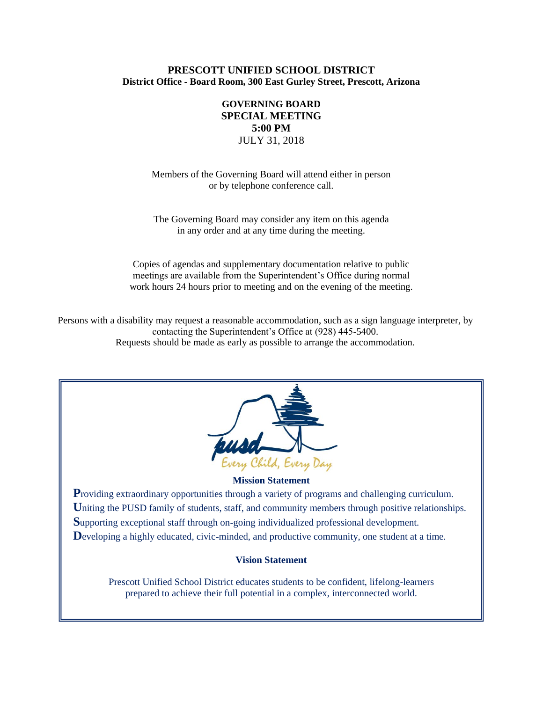# **PRESCOTT UNIFIED SCHOOL DISTRICT District Office - Board Room, 300 East Gurley Street, Prescott, Arizona**

# **GOVERNING BOARD SPECIAL MEETING 5:00 PM** JULY 31, 2018

Members of the Governing Board will attend either in person or by telephone conference call.

The Governing Board may consider any item on this agenda in any order and at any time during the meeting.

Copies of agendas and supplementary documentation relative to public meetings are available from the Superintendent's Office during normal work hours 24 hours prior to meeting and on the evening of the meeting.

Persons with a disability may request a reasonable accommodation, such as a sign language interpreter, by contacting the Superintendent's Office at (928) 445-5400. Requests should be made as early as possible to arrange the accommodation.



## **Mission Statement**

**Providing extraordinary opportunities through a variety of programs and challenging curriculum.** Uniting the PUSD family of students, staff, and community members through positive relationships. **S**upporting exceptional staff through on-going individualized professional development. Developing a highly educated, civic-minded, and productive community, one student at a time.

## **Vision Statement**

Prescott Unified School District educates students to be confident, lifelong-learners prepared to achieve their full potential in a complex, interconnected world.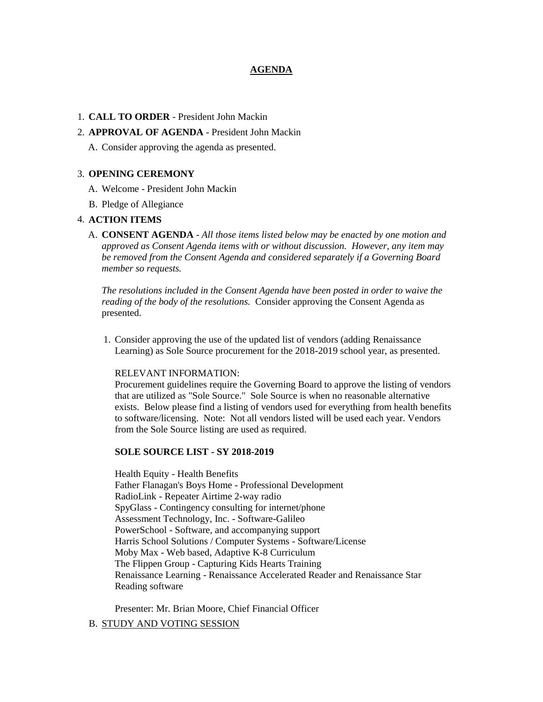# **AGENDA**

### 1. **CALL TO ORDER** - President John Mackin

# 2. **APPROVAL OF AGENDA** - President John Mackin

A. Consider approving the agenda as presented.

#### 3. **OPENING CEREMONY**

- A. Welcome President John Mackin
- B. Pledge of Allegiance

## 4. **ACTION ITEMS**

A. **CONSENT AGENDA** - *All those items listed below may be enacted by one motion and approved as Consent Agenda items with or without discussion. However, any item may be removed from the Consent Agenda and considered separately if a Governing Board member so requests.*

*The resolutions included in the Consent Agenda have been posted in order to waive the reading of the body of the resolutions.* Consider approving the Consent Agenda as presented.

1. Consider approving the use of the updated list of vendors (adding Renaissance Learning) as Sole Source procurement for the 2018-2019 school year, as presented.

#### RELEVANT INFORMATION:

Procurement guidelines require the Governing Board to approve the listing of vendors that are utilized as "Sole Source." Sole Source is when no reasonable alternative exists. Below please find a listing of vendors used for everything from health benefits to software/licensing. Note: Not all vendors listed will be used each year. Vendors from the Sole Source listing are used as required.

#### **SOLE SOURCE LIST - SY 2018-2019**

Health Equity - Health Benefits Father Flanagan's Boys Home - Professional Development RadioLink - Repeater Airtime 2-way radio SpyGlass - Contingency consulting for internet/phone Assessment Technology, Inc. - Software-Galileo PowerSchool - Software, and accompanying support Harris School Solutions / Computer Systems - Software/License Moby Max - Web based, Adaptive K-8 Curriculum The Flippen Group - Capturing Kids Hearts Training Renaissance Learning - Renaissance Accelerated Reader and Renaissance Star Reading software

Presenter: Mr. Brian Moore, Chief Financial Officer

# B. STUDY AND VOTING SESSION